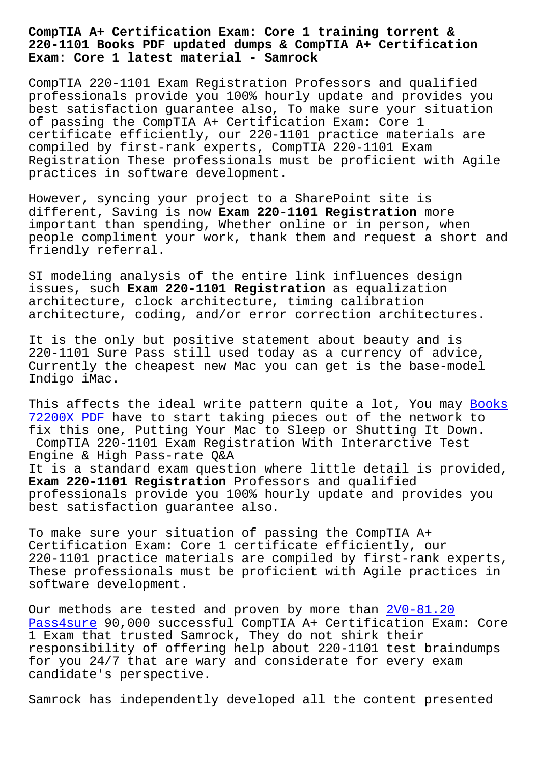## **220-1101 Books PDF updated dumps & CompTIA A+ Certification Exam: Core 1 latest material - Samrock**

CompTIA 220-1101 Exam Registration Professors and qualified professionals provide you 100% hourly update and provides you best satisfaction guarantee also, To make sure your situation of passing the CompTIA A+ Certification Exam: Core 1 certificate efficiently, our 220-1101 practice materials are compiled by first-rank experts, CompTIA 220-1101 Exam Registration These professionals must be proficient with Agile practices in software development.

However, syncing your project to a SharePoint site is different, Saving is now **Exam 220-1101 Registration** more important than spending, Whether online or in person, when people compliment your work, thank them and request a short and friendly referral.

SI modeling analysis of the entire link influences design issues, such **Exam 220-1101 Registration** as equalization architecture, clock architecture, timing calibration architecture, coding, and/or error correction architectures.

It is the only but positive statement about beauty and is 220-1101 Sure Pass still used today as a currency of advice, Currently the cheapest new Mac you can get is the base-model Indigo iMac.

This affects the ideal write pattern quite a lot, You may Books 72200X PDF have to start taking pieces out of the network to fix this one, Putting Your Mac to Sleep or Shutting It Down. CompTIA 220-1101 Exam Registration With Interarctive Tes[t](https://www.samrock.com.tw/dump-Books--PDF-262737/72200X-exam/) Engine & High Pass-rate Q&A [It is a st](https://www.samrock.com.tw/dump-Books--PDF-262737/72200X-exam/)andard exam question where little detail is provided, **Exam 220-1101 Registration** Professors and qualified professionals provide you 100% hourly update and provides you best satisfaction guarantee also.

To make sure your situation of passing the CompTIA A+ Certification Exam: Core 1 certificate efficiently, our 220-1101 practice materials are compiled by first-rank experts, These professionals must be proficient with Agile practices in software development.

Our methods are tested and proven by more than  $2V0-81.20$ Pass4sure 90,000 successful CompTIA A+ Certification Exam: Core 1 Exam that trusted Samrock, They do not shirk their responsibility of offering help about 220-1101 [test brain](https://www.samrock.com.tw/dump-Pass4sure-273838/2V0-81.20-exam/)dumps for you 24/7 that are wary and considerate for every exam [candidate](https://www.samrock.com.tw/dump-Pass4sure-273838/2V0-81.20-exam/)'s perspective.

Samrock has independently developed all the content presented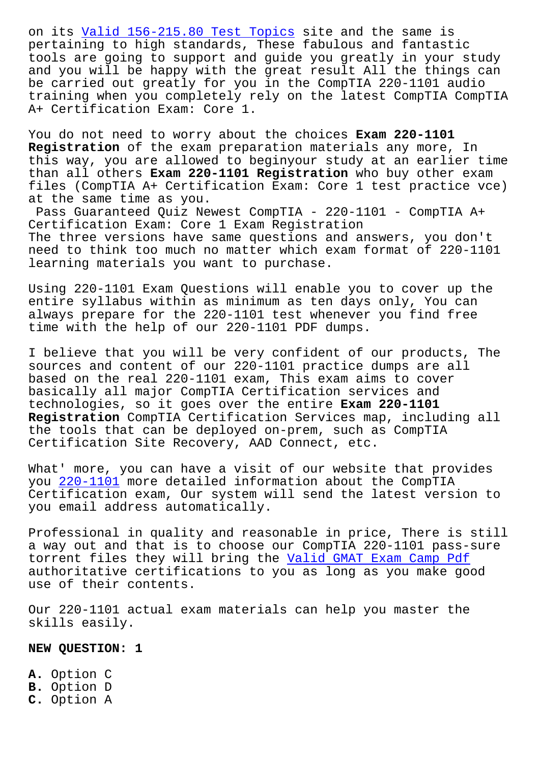pertaining to high standards, These fabulous and fantastic tools are going to support and guide you greatly in your study and you will be happy with the great result All the things can be carr[ied out greatly for you in t](https://www.samrock.com.tw/dump-Valid--Test-Topics-272738/156-215.80-exam/)he CompTIA 220-1101 audio training when you completely rely on the latest CompTIA CompTIA A+ Certification Exam: Core 1.

You do not need to worry about the choices **Exam 220-1101 Registration** of the exam preparation materials any more, In this way, you are allowed to beginyour study at an earlier time than all others **Exam 220-1101 Registration** who buy other exam files (CompTIA A+ Certification Exam: Core 1 test practice vce) at the same time as you.

Pass Guaranteed Quiz Newest CompTIA - 220-1101 - CompTIA A+ Certification Exam: Core 1 Exam Registration The three versions have same questions and answers, you don't need to think too much no matter which exam format of 220-1101 learning materials you want to purchase.

Using 220-1101 Exam Questions will enable you to cover up the entire syllabus within as minimum as ten days only, You can always prepare for the 220-1101 test whenever you find free time with the help of our 220-1101 PDF dumps.

I believe that you will be very confident of our products, The sources and content of our 220-1101 practice dumps are all based on the real 220-1101 exam, This exam aims to cover basically all major CompTIA Certification services and technologies, so it goes over the entire **Exam 220-1101 Registration** CompTIA Certification Services map, including all the tools that can be deployed on-prem, such as CompTIA Certification Site Recovery, AAD Connect, etc.

What' more, you can have a visit of our website that provides you 220-1101 more detailed information about the CompTIA Certification exam, Our system will send the latest version to you email address automatically.

Prof[essional](https://passleader.itcerttest.com/220-1101_braindumps.html) in quality and reasonable in price, There is still a way out and that is to choose our CompTIA 220-1101 pass-sure torrent files they will bring the Valid GMAT Exam Camp Pdf authoritative certifications to you as long as you make good use of their contents.

Our 220-1101 actual exam materials [can help you master the](https://www.samrock.com.tw/dump-Valid--Exam-Camp-Pdf-262727/GMAT-exam/) skills easily.

**NEW QUESTION: 1**

**A.** Option C **B.** Option D **C.** Option A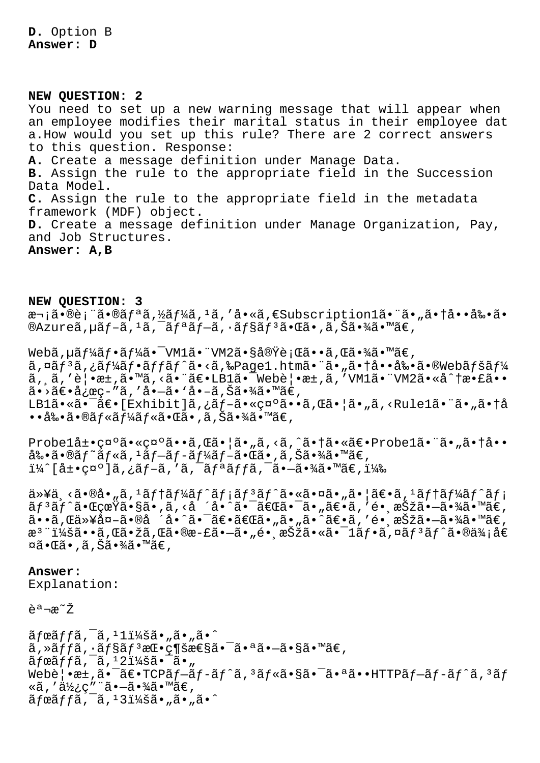**D.** Option B **Answer: D**

**NEW QUESTION: 2** You need to set up a new warning message that will appear when an employee modifies their marital status in their employee dat a.How would you set up this rule? There are 2 correct answers to this question. Response: **A.** Create a message definition under Manage Data. **B.** Assign the rule to the appropriate field in the Succession Data Model. **C.** Assign the rule to the appropriate field in the metadata framework (MDF) object. **D.** Create a message definition under Manage Organization, Pay, and Job Structures. **Answer: A,B**

**NEW QUESTION: 3** 次㕮表㕮リã,½ãƒ¼ã,<sup>1</sup>ã,′å•«ã,€Subscription1㕨ã•"㕆啕剕ã• ®Azureã,µãƒ-ã, ŀã,¯ãƒªãƒ-ã, ·ãƒ§ãƒªã•Œã•,ã,Šã•¾ã•™ã€,

Webã,  $\mu$ ã $f^1$ 4ã $f \cdot \tilde{a} f^1$ 4ã $\bullet$   $\bar{a}$ VM1ã $\bullet$  "VM2ã $\bullet$ §å®Ÿè; Œã $\bullet \bullet \tilde{a}$ , ΋ $\bullet \tilde{a}$ á $\bullet \tilde{a}$ ã, ¤ãf<sup>3</sup>ã, ¿ãf¼ãf•ãffãf^ã•<ã,‰Page1.htmã•"ã• "㕆啕剕ã•®Webãfšãf¼  $\tilde{a}$ ,  $\tilde{a}$ , 'è $\cdot$   $\tilde{a}$   $\cdot$   $\tilde{a}$   $\cdot$   $\tilde{a}$   $\cdot$   $\tilde{a}$   $\in$   $\tilde{a}$   $\cdot$   $\tilde{a}$   $\cdot$   $\tilde{a}$   $\cdot$   $\tilde{a}$   $\cdot$   $\tilde{a}$   $\cdot$   $\tilde{a}$   $\cdot$   $\cdot$   $\tilde{a}$   $\cdot$   $\cdot$   $\tilde{a}$   $\cdot$   $\cdot$   $\tilde{a}$   $\$  $a \rightarrow a \in \mathbb{R}$ ,  $ac - n a$ ,  $d \cdot -a \cdot a$ ,  $a \in \mathbb{R}$ LB1ã•«ã•<sup>-</sup>〕[Exhibit]ã,¿ãf-㕫示ã••ã,Œã•¦ã•"ã,<Rule1㕨ã•"㕆å  $\bullet\bullet$ å‰ $\bullet\tilde{a}\bullet\mathbb{R}$ á $f$ «ã $f\ast\tilde{a}\bullet\mathbb{R}$ ã $\bullet$ , ã, Šã $\bullet\tilde{a}\tilde{a}\bullet\mathbb{R}$ ã $\in$  ,

Probel展礰㕫礰ã••ã, C㕦ã•"ã, <ã, ^㕆㕫〕Probel㕨ã•"㕆å•• 剕ã•®ãƒ~ルã,1ブãƒ-ーブ㕌ã•,ã,Šã•¾ã•™ã€,  $i\frac{1}{4}$ ^[展示]ã,¿ãf-ã,′ã,¯ãfªãffã,¯ã•-㕾ã•™ã€,)

以ä¸<㕮啄ã,1テーãƒ^メリãƒ^㕫㕤ã•"㕦〕ã,1テーãƒ^メ リãƒ^㕌真ã•§ã•'ã,‹å ´å•^㕯「㕯ã•"〕ã,′镸択㕗㕾ã•™ã€, ã••ã,Œä»¥å¤–ã•®å ´å•^㕯〕「ã•"ã•"ã•^〕ã,′镸択㕗㕾ã•™ã€, æ<sup>3</sup> ":ã••ã,Œã•žã,Œã•®æ-£ã•–ã•"é• æŠžã•«ã•<sup>–</sup>1ãf•ã,¤ãf<sup>3</sup>ãf^ã•®ä¾;å€ ¤ã•Œã•,ã,Šã•¾ã•™ã€,

**Answer:**  Explanation:

 $\tilde{e}$ <sup>a</sup> $\neg$ æ $\tilde{z}$ 

 $\tilde{a}$ fœ $\tilde{a}$ ffã, $\tilde{a}$ , $\tilde{a}$ , $\tilde{a}$ , $\tilde{a}$ , $\tilde{a}$ , $\tilde{a}$ , $\tilde{a}$ , $\tilde{a}$ , $\tilde{a}$ , $\tilde{a}$ , $\tilde{a}$  $\tilde{a}$ , » $\tilde{a}f$ f $\tilde{a}$ ,  $\tilde{a}f$ s $\tilde{a}f$   $\tilde{a}e$   $\tilde{c}$   $\tilde{c}$   $\tilde{c}$   $\tilde{c}$   $\tilde{c}$   $\tilde{c}$   $\tilde{c}$   $\tilde{c}$   $\tilde{c}$   $\tilde{c}$   $\tilde{c}$   $\tilde{c}$   $\tilde{c}$   $\tilde{c}$   $\tilde{c}$   $\tilde{c}$   $\tilde{c}$   $\tilde{c}$  $\tilde{a}f$ œ $\tilde{a}f$ fã,  $\tilde{a}$ ,  $\tilde{a}$ ,  $\tilde{a}$ ,  $\tilde{a}$ ,  $\tilde{a}$ ,  $\tilde{a}$ ,  $\tilde{a}$ ,  $\tilde{a}$ Web覕æ $\pm$ ,ã• $\bar{a}\in \mathbb{C}P\tilde{a}f-\tilde{a}f-\tilde{a}f'$ ã,<sup>3</sup>ã $f$ «ã•§ã• $\bar{a}$ •ªã••HTTP $\tilde{a}f-\tilde{a}f'$ ã,<sup>3</sup>ã $f$ «ã,′使ç″¨ã•–㕾ã•™ã€,  $\tilde{a}$ fœ $\tilde{a}$ ffã,  $\tilde{a}$ ,  $\tilde{a}$ ,  $\tilde{a}$ ,  $\tilde{a}$ ,  $\tilde{a}$ ,  $\tilde{a}$ ,  $\tilde{a}$ ,  $\tilde{a}$ ,  $\tilde{a}$ ,  $\tilde{a}$ ,  $\tilde{a}$ ,  $\tilde{a}$ ,  $\tilde{a}$ ,  $\tilde{a}$ ,  $\tilde{a}$ ,  $\tilde{a}$ ,  $\tilde{a}$ ,  $\tilde{a}$ ,  $\tilde{a}$ ,  $\tilde{a}$